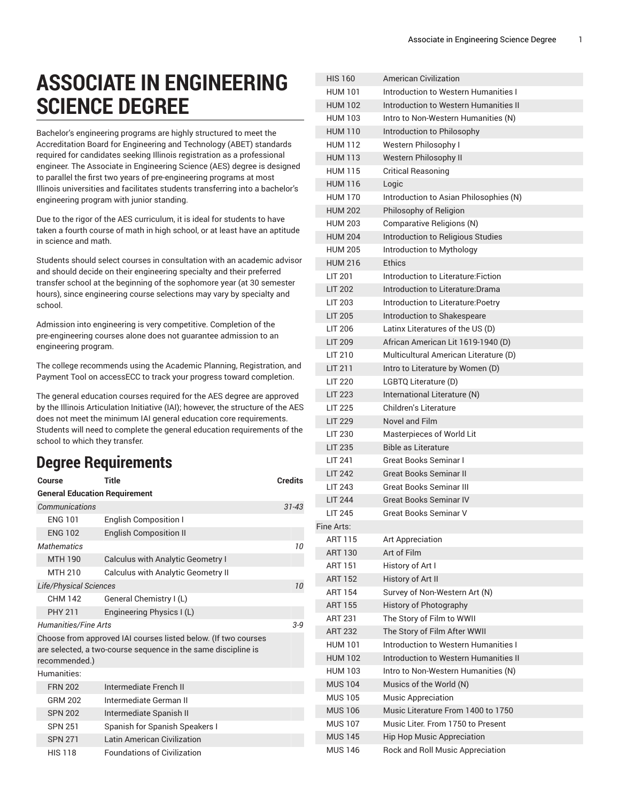## **ASSOCIATE IN ENGINEERING SCIENCE DEGREE**

Bachelor's engineering programs are highly structured to meet the Accreditation Board for Engineering and Technology (ABET) standards required for candidates seeking Illinois registration as a professional engineer. The Associate in Engineering Science (AES) degree is designed to parallel the first two years of pre-engineering programs at most Illinois universities and facilitates students transferring into a bachelor's engineering program with junior standing.

Due to the rigor of the AES curriculum, it is ideal for students to have taken a fourth course of math in high school, or at least have an aptitude in science and math.

Students should select courses in consultation with an academic advisor and should decide on their engineering specialty and their preferred transfer school at the beginning of the sophomore year (at 30 semester hours), since engineering course selections may vary by specialty and school.

Admission into engineering is very competitive. Completion of the pre-engineering courses alone does not guarantee admission to an engineering program.

The college recommends using the Academic Planning, Registration, and Payment Tool on accessECC to track your progress toward completion.

The general education courses required for the AES degree are approved by the Illinois Articulation Initiative (IAI); however, the structure of the AES does not meet the minimum IAI general education core requirements. Students will need to complete the general education requirements of the school to which they transfer.

## **Degree Requirements**

| Course                                                                                                                                           | <b>Title</b>                       | <b>Credits</b> |  |  |  |
|--------------------------------------------------------------------------------------------------------------------------------------------------|------------------------------------|----------------|--|--|--|
| <b>General Education Requirement</b>                                                                                                             |                                    |                |  |  |  |
| Communications                                                                                                                                   |                                    | $31 - 43$      |  |  |  |
| <b>ENG 101</b>                                                                                                                                   | <b>English Composition I</b>       |                |  |  |  |
| <b>ENG 102</b>                                                                                                                                   | <b>English Composition II</b>      |                |  |  |  |
| <b>Mathematics</b>                                                                                                                               |                                    | 10             |  |  |  |
| <b>MTH 190</b>                                                                                                                                   | Calculus with Analytic Geometry I  |                |  |  |  |
| MTH 210                                                                                                                                          | Calculus with Analytic Geometry II |                |  |  |  |
| Life/Physical Sciences                                                                                                                           |                                    |                |  |  |  |
| CHM 142                                                                                                                                          | General Chemistry I (L)            |                |  |  |  |
| <b>PHY 211</b>                                                                                                                                   | Engineering Physics I (L)          |                |  |  |  |
| <b>Humanities/Fine Arts</b>                                                                                                                      |                                    |                |  |  |  |
| Choose from approved IAI courses listed below. (If two courses<br>are selected, a two-course sequence in the same discipline is<br>recommended.) |                                    |                |  |  |  |
| Humanities:                                                                                                                                      |                                    |                |  |  |  |
| <b>FRN 202</b>                                                                                                                                   | Intermediate French II             |                |  |  |  |
| GRM 202                                                                                                                                          | Intermediate German II             |                |  |  |  |
| <b>SPN 202</b>                                                                                                                                   | Intermediate Spanish II            |                |  |  |  |
| <b>SPN 251</b>                                                                                                                                   | Spanish for Spanish Speakers I     |                |  |  |  |
| <b>SPN 271</b>                                                                                                                                   | Latin American Civilization        |                |  |  |  |
| HIS 118                                                                                                                                          | <b>Foundations of Civilization</b> |                |  |  |  |

| <b>HUM 101</b><br>Introduction to Western Humanities I   |  |
|----------------------------------------------------------|--|
| Introduction to Western Humanities II<br><b>HUM 102</b>  |  |
| <b>HUM 103</b><br>Intro to Non-Western Humanities (N)    |  |
| <b>HUM 110</b><br>Introduction to Philosophy             |  |
| <b>HUM 112</b><br>Western Philosophy I                   |  |
| <b>HUM 113</b><br>Western Philosophy II                  |  |
| <b>HUM 115</b><br><b>Critical Reasoning</b>              |  |
| <b>HUM 116</b><br>Logic                                  |  |
| <b>HUM 170</b><br>Introduction to Asian Philosophies (N) |  |
| <b>HUM 202</b><br>Philosophy of Religion                 |  |
| <b>HUM 203</b><br>Comparative Religions (N)              |  |
| <b>HUM 204</b><br>Introduction to Religious Studies      |  |
| <b>HUM 205</b><br>Introduction to Mythology              |  |
| <b>HUM 216</b><br><b>Ethics</b>                          |  |
| <b>LIT 201</b><br>Introduction to Literature: Fiction    |  |
| Introduction to Literature: Drama<br><b>LIT 202</b>      |  |
| LIT 203<br>Introduction to Literature: Poetry            |  |
| <b>LIT 205</b><br>Introduction to Shakespeare            |  |
| <b>LIT 206</b><br>Latinx Literatures of the US (D)       |  |
| <b>LIT 209</b><br>African American Lit 1619-1940 (D)     |  |
| <b>IIT 210</b><br>Multicultural American Literature (D)  |  |
| <b>LIT 211</b><br>Intro to Literature by Women (D)       |  |
| <b>LIT 220</b><br>LGBTQ Literature (D)                   |  |
| <b>LIT 223</b><br>International Literature (N)           |  |
| Children's Literature<br><b>LIT 225</b>                  |  |
| <b>Novel and Film</b><br><b>LIT 229</b>                  |  |
| <b>LIT 230</b><br>Masterpieces of World Lit              |  |
| <b>Bible as Literature</b><br><b>LIT 235</b>             |  |
| Great Books Seminar I<br><b>LIT 241</b>                  |  |
| <b>Great Books Seminar II</b><br><b>LIT 242</b>          |  |
| <b>Great Books Seminar III</b><br><b>LIT 243</b>         |  |
| <b>Great Books Seminar IV</b><br><b>LIT 244</b>          |  |
| <b>LIT 245</b><br><b>Great Books Seminar V</b>           |  |
| Fine Arts:                                               |  |
| <b>ART 115</b><br><b>Art Appreciation</b>                |  |
| Art of Film<br><b>ART 130</b>                            |  |
| History of Art I<br><b>ART 151</b>                       |  |
| History of Art II<br><b>ART 152</b>                      |  |
| Survey of Non-Western Art (N)<br><b>ART 154</b>          |  |
| <b>ART 155</b><br>History of Photography                 |  |
| <b>ART 231</b><br>The Story of Film to WWII              |  |
| <b>ART 232</b><br>The Story of Film After WWII           |  |
|                                                          |  |
| Introduction to Western Humanities I<br><b>HUM 101</b>   |  |
| Introduction to Western Humanities II<br><b>HUM 102</b>  |  |
| Intro to Non-Western Humanities (N)<br><b>HUM 103</b>    |  |
| <b>MUS 104</b><br>Musics of the World (N)                |  |
| <b>MUS 105</b><br><b>Music Appreciation</b>              |  |
| Music Literature From 1400 to 1750<br><b>MUS 106</b>     |  |
| Music Liter. From 1750 to Present<br><b>MUS 107</b>      |  |
| <b>MUS 145</b><br>Hip Hop Music Appreciation             |  |